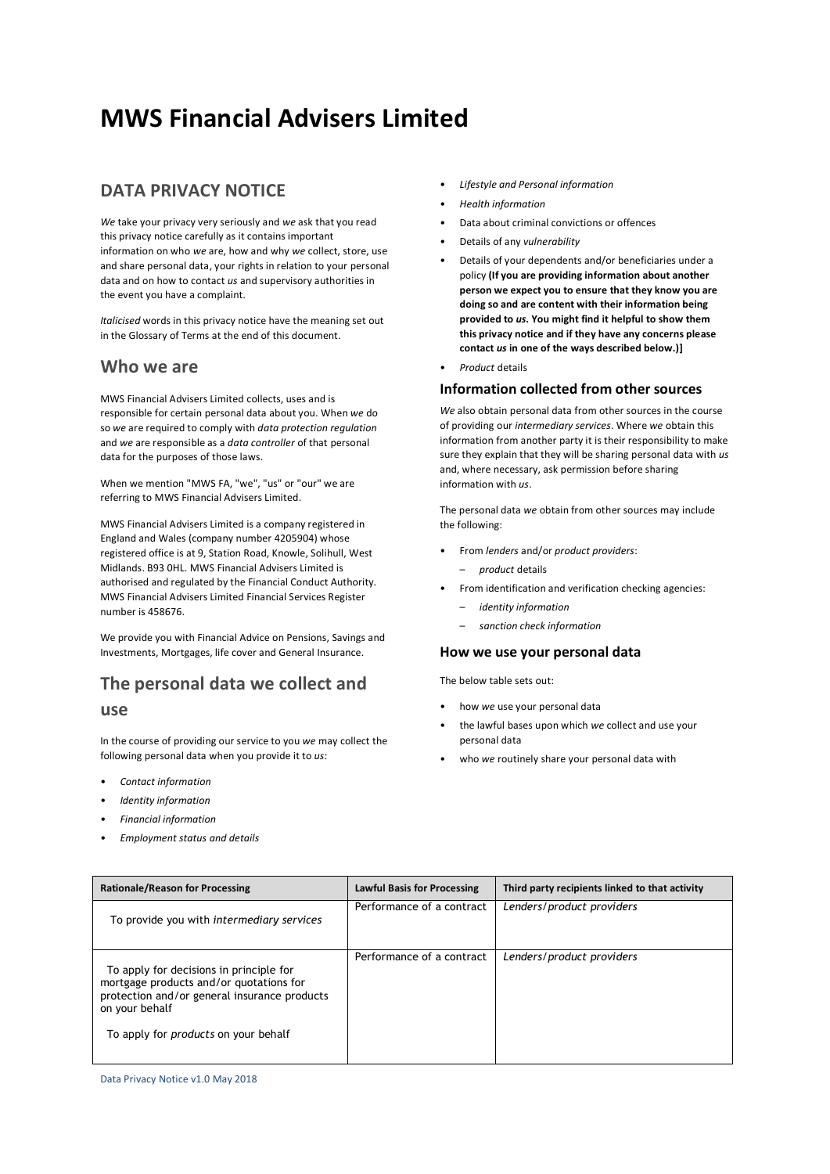# **MWS Financial Advisers Limited**

# **DATA PRIVACY NOTICE**

*We* take your privacy very seriously and *we* ask that you read this privacy notice carefully as it contains important information on who *we* are, how and why *we* collect, store, use and share personal data, your rights in relation to your personal data and on how to contact *us* and supervisory authorities in the event you have a complaint.

*Italicised* words in this privacy notice have the meaning set out in the Glossary of Terms at the end of this document.

### **Who we are**

MWS Financial Advisers Limited collects, uses and is responsible for certain personal data about you. When *we* do so *we* are required to comply with *data protection regulation* and *we* are responsible as a *data controller* of that personal data for the purposes of those laws.

When we mention "MWS FA, "we", "us" or "our" we are referring to MWS Financial Advisers Limited.

MWS Financial Advisers Limited is a company registered in England and Wales (company number 4205904) whose registered office is at 9, Station Road, Knowle, Solihull, West Midlands. B93 0HL. MWS Financial Advisers Limited is authorised and regulated by the Financial Conduct Authority. MWS Financial Advisers Limited Financial Services Register number is 458676.

We provide you with Financial Advice on Pensions, Savings and Investments, Mortgages, life cover and General Insurance.

# **The personal data we collect and**

### **use**

In the course of providing our service to you *we* may collect the following personal data when you provide it to *us*:

- *Contact information*
- *Identity information*
- *Financial information*
- *Employment status and details*
- *Lifestyle and Personal information*
- *Health information*
- Data about criminal convictions or offences
- Details of any *vulnerability*
- Details of your dependents and/or beneficiaries under a policy **(If you are providing information about another person we expect you to ensure that they know you are doing so and are content with their information being provided to** *us***. You might find it helpful to show them this privacy notice and if they have any concerns please contact** *us* **in one of the ways described below.)]**
- *Product* details

### **Information collected from other sources**

*We* also obtain personal data from other sources in the course of providing our *intermediary services*. Where *we* obtain this information from another party it is their responsibility to make sure they explain that they will be sharing personal data with *us* and, where necessary, ask permission before sharing information with *us*.

The personal data *we* obtain from other sources may include the following:

- From *lenders* and/or *product providers*:
	- *product* details
- From identification and verification checking agencies:
	- *identity information*
	- *sanction check information*

### **How we use your personal data**

The below table sets out:

- how *we* use your personal data
- the lawful bases upon which *we* collect and use your personal data
- who *we* routinely share your personal data with

| <b>Rationale/Reason for Processing</b>                                                                                                                                                              | <b>Lawful Basis for Processing</b> | Third party recipients linked to that activity |
|-----------------------------------------------------------------------------------------------------------------------------------------------------------------------------------------------------|------------------------------------|------------------------------------------------|
| To provide you with intermediary services                                                                                                                                                           | Performance of a contract          | Lenders/product providers                      |
| To apply for decisions in principle for<br>mortgage products and/or quotations for<br>protection and/or general insurance products<br>on your behalf<br>To apply for <i>products</i> on your behalf | Performance of a contract          | Lenders/product providers                      |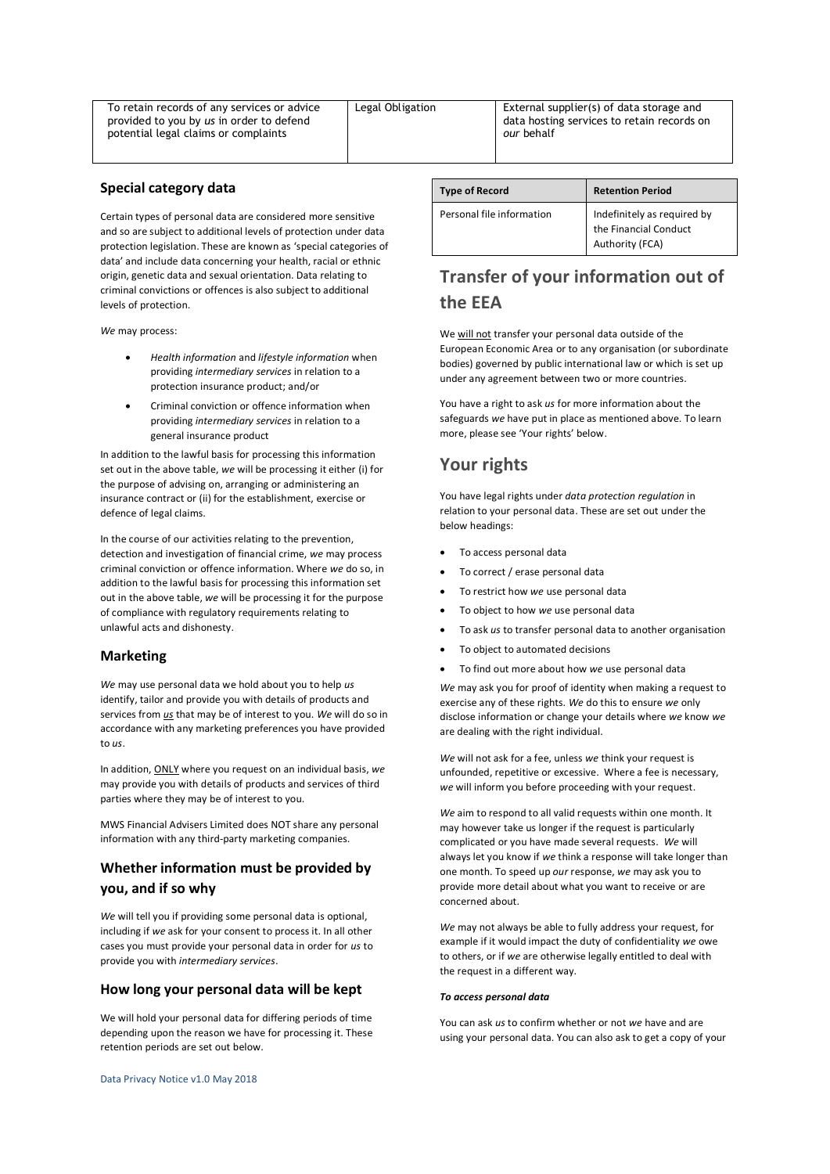To retain records of any services or advice provided to you by *us* in order to defend potential legal claims or complaints

Legal Obligation | External supplier(s) of data storage and data hosting services to retain records on *our* behalf

### **Special category data**

Certain types of personal data are considered more sensitive and so are subject to additional levels of protection under data protection legislation. These are known as 'special categories of data' and include data concerning your health, racial or ethnic origin, genetic data and sexual orientation. Data relating to criminal convictions or offences is also subject to additional levels of protection.

*We* may process:

- *Health information* and *lifestyle information* when providing *intermediary services* in relation to a protection insurance product; and/or
- Criminal conviction or offence information when providing *intermediary services* in relation to a general insurance product

In addition to the lawful basis for processing this information set out in the above table, *we* will be processing it either (i) for the purpose of advising on, arranging or administering an insurance contract or (ii) for the establishment, exercise or defence of legal claims.

In the course of our activities relating to the prevention, detection and investigation of financial crime, *we* may process criminal conviction or offence information. Where *we* do so, in addition to the lawful basis for processing this information set out in the above table, *we* will be processing it for the purpose of compliance with regulatory requirements relating to unlawful acts and dishonesty.

### **Marketing**

*We* may use personal data we hold about you to help *us* identify, tailor and provide you with details of products and services from *us* that may be of interest to you. *We* will do so in accordance with any marketing preferences you have provided to *us*.

In addition, ONLY where you request on an individual basis, *we* may provide you with details of products and services of third parties where they may be of interest to you.

MWS Financial Advisers Limited does NOT share any personal information with any third-party marketing companies.

### **Whether information must be provided by you, and if so why**

*We* will tell you if providing some personal data is optional, including if *we* ask for your consent to process it. In all other cases you must provide your personal data in order for *us* to provide you with *intermediary services*.

#### **How long your personal data will be kept**

We will hold your personal data for differing periods of time depending upon the reason we have for processing it. These retention periods are set out below.

| <b>Type of Record</b>     | <b>Retention Period</b>                                                 |
|---------------------------|-------------------------------------------------------------------------|
| Personal file information | Indefinitely as required by<br>the Financial Conduct<br>Authority (FCA) |

# **Transfer of your information out of the EEA**

We will not transfer your personal data outside of the European Economic Area or to any organisation (or subordinate bodies) governed by public international law or which is set up under any agreement between two or more countries.

You have a right to ask *us* for more information about the safeguards *we* have put in place as mentioned above. To learn more, please see 'Your rights' below.

# **Your rights**

You have legal rights under *data protection regulation* in relation to your personal data. These are set out under the below headings:

- To access personal data
- To correct / erase personal data
- To restrict how *we* use personal data
- To object to how *we* use personal data
- To ask *us* to transfer personal data to another organisation
- To object to automated decisions
- To find out more about how *we* use personal data

*We* may ask you for proof of identity when making a request to exercise any of these rights. *We* do this to ensure *we* only disclose information or change your details where *we* know *we* are dealing with the right individual.

*We* will not ask for a fee, unless *we* think your request is unfounded, repetitive or excessive. Where a fee is necessary, *we* will inform you before proceeding with your request.

*We* aim to respond to all valid requests within one month. It may however take us longer if the request is particularly complicated or you have made several requests. *We* will always let you know if *we* think a response will take longer than one month. To speed up *our* response, *we* may ask you to provide more detail about what you want to receive or are concerned about.

*We* may not always be able to fully address your request, for example if it would impact the duty of confidentiality *we* owe to others, or if *we* are otherwise legally entitled to deal with the request in a different way.

#### *To access personal data*

You can ask *us* to confirm whether or not *we* have and are using your personal data. You can also ask to get a copy of your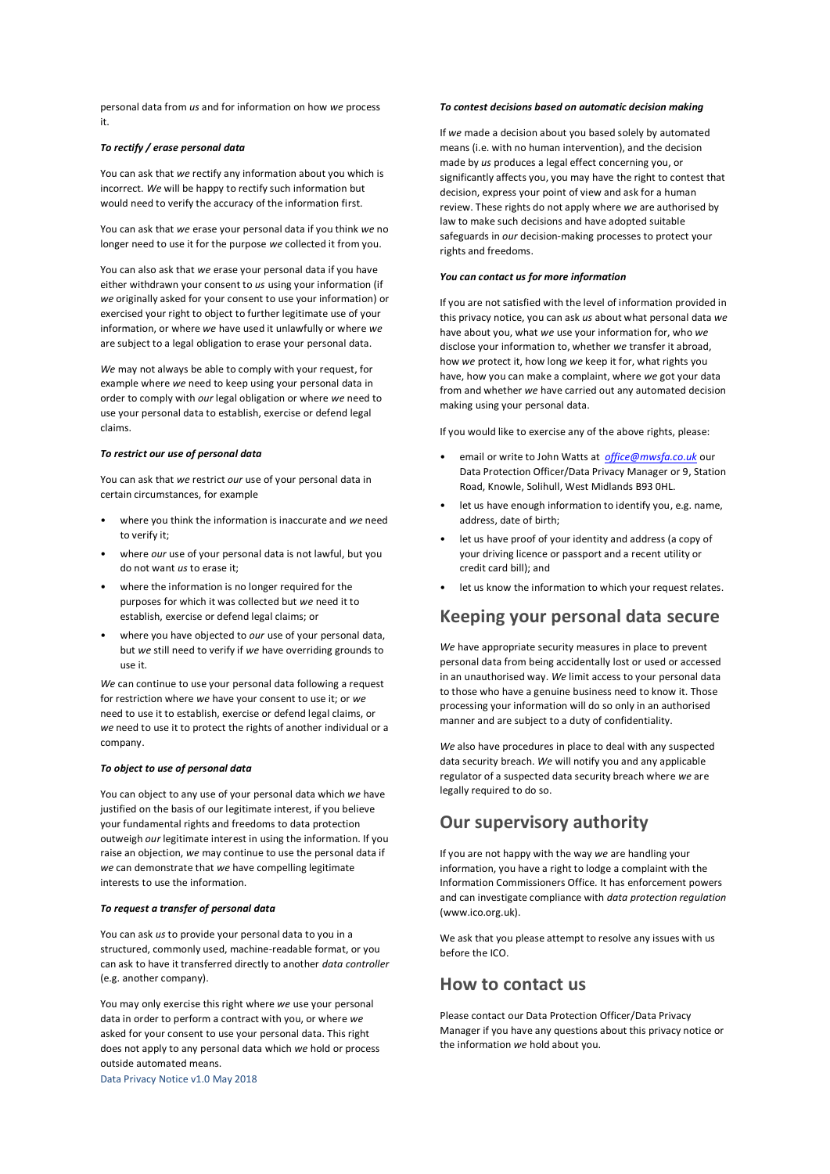personal data from *us* and for information on how *we* process it.

#### *To rectify / erase personal data*

You can ask that *we* rectify any information about you which is incorrect. *We* will be happy to rectify such information but would need to verify the accuracy of the information first.

You can ask that *we* erase your personal data if you think *we* no longer need to use it for the purpose *we* collected it from you.

You can also ask that *we* erase your personal data if you have either withdrawn your consent to *us* using your information (if *we* originally asked for your consent to use your information) or exercised your right to object to further legitimate use of your information, or where *we* have used it unlawfully or where *we* are subject to a legal obligation to erase your personal data.

*We* may not always be able to comply with your request, for example where *we* need to keep using your personal data in order to comply with *our* legal obligation or where *we* need to use your personal data to establish, exercise or defend legal claims.

#### *To restrict our use of personal data*

You can ask that *we* restrict *our* use of your personal data in certain circumstances, for example

- where you think the information is inaccurate and *we* need to verify it;
- where *our* use of your personal data is not lawful, but you do not want *us* to erase it;
- where the information is no longer required for the purposes for which it was collected but *we* need it to establish, exercise or defend legal claims; or
- where you have objected to *our* use of your personal data, but *we* still need to verify if *we* have overriding grounds to use it.

*We* can continue to use your personal data following a request for restriction where *we* have your consent to use it; or *we* need to use it to establish, exercise or defend legal claims, or *we* need to use it to protect the rights of another individual or a company.

#### *To object to use of personal data*

You can object to any use of your personal data which *we* have justified on the basis of our legitimate interest, if you believe your fundamental rights and freedoms to data protection outweigh *our* legitimate interest in using the information. If you raise an objection, *we* may continue to use the personal data if *we* can demonstrate that *we* have compelling legitimate interests to use the information.

#### *To request a transfer of personal data*

You can ask *us* to provide your personal data to you in a structured, commonly used, machine-readable format, or you can ask to have it transferred directly to another *data controller* (e.g. another company).

You may only exercise this right where *we* use your personal data in order to perform a contract with you, or where *we* asked for your consent to use your personal data. This right does not apply to any personal data which *we* hold or process outside automated means.

*To contest decisions based on automatic decision making* 

If *we* made a decision about you based solely by automated means (i.e. with no human intervention), and the decision made by *us* produces a legal effect concerning you, or significantly affects you, you may have the right to contest that decision, express your point of view and ask for a human review. These rights do not apply where *we* are authorised by law to make such decisions and have adopted suitable safeguards in *our* decision-making processes to protect your rights and freedoms.

#### *You can contact us for more information*

If you are not satisfied with the level of information provided in this privacy notice, you can ask *us* about what personal data *we* have about you, what *we* use your information for, who *we* disclose your information to, whether *we* transfer it abroad, how *we* protect it, how long *we* keep it for, what rights you have, how you can make a complaint, where *we* got your data from and whether *we* have carried out any automated decision making using your personal data.

If you would like to exercise any of the above rights, please:

- email or write to John Watts at *[office@mwsfa.co.uk](mailto:office@mwsfa.co.uk)* our Data Protection Officer/Data Privacy Manager or 9, Station Road, Knowle, Solihull, West Midlands B93 0HL.
- let us have enough information to identify you, e.g. name, address, date of birth;
- let us have proof of your identity and address (a copy of your driving licence or passport and a recent utility or credit card bill); and
- let us know the information to which your request relates.

## **Keeping your personal data secure**

*We* have appropriate security measures in place to prevent personal data from being accidentally lost or used or accessed in an unauthorised way. *We* limit access to your personal data to those who have a genuine business need to know it. Those processing your information will do so only in an authorised manner and are subject to a duty of confidentiality.

*We* also have procedures in place to deal with any suspected data security breach. *We* will notify you and any applicable regulator of a suspected data security breach where *we* are legally required to do so.

## **Our supervisory authority**

If you are not happy with the way *we* are handling your information, you have a right to lodge a complaint with the Information Commissioners Office. It has enforcement powers and can investigate compliance with *data protection regulation* (www.ico.org.uk).

We ask that you please attempt to resolve any issues with us before the ICO.

### **How to contact us**

Please contact our Data Protection Officer/Data Privacy Manager if you have any questions about this privacy notice or the information *we* hold about you.

Data Privacy Notice v1.0 May 2018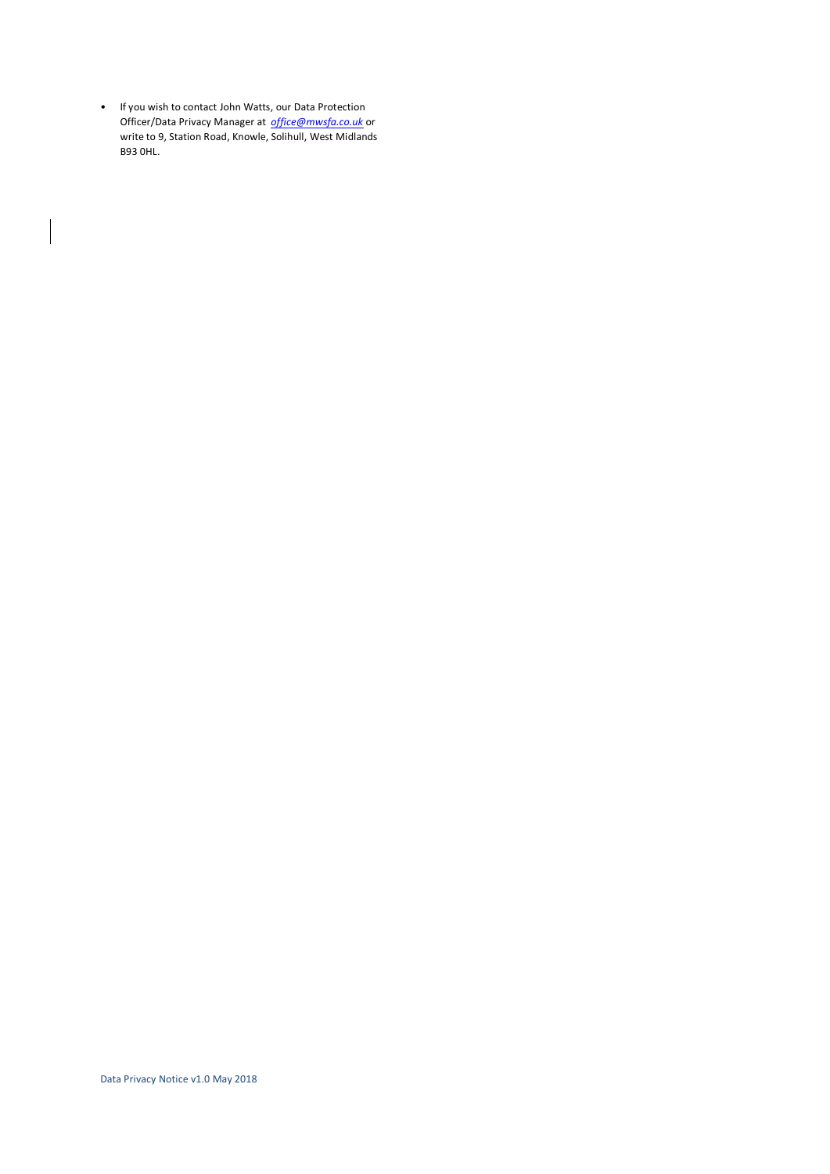• If you wish to contact John Watts, our Data Protection Officer/Data Privacy Manager at *[office@mwsfa.co.uk](mailto:office@mwsfa.co.uk)* or write to 9, Station Road, Knowle, Solihull, West Midlands B93 0HL.